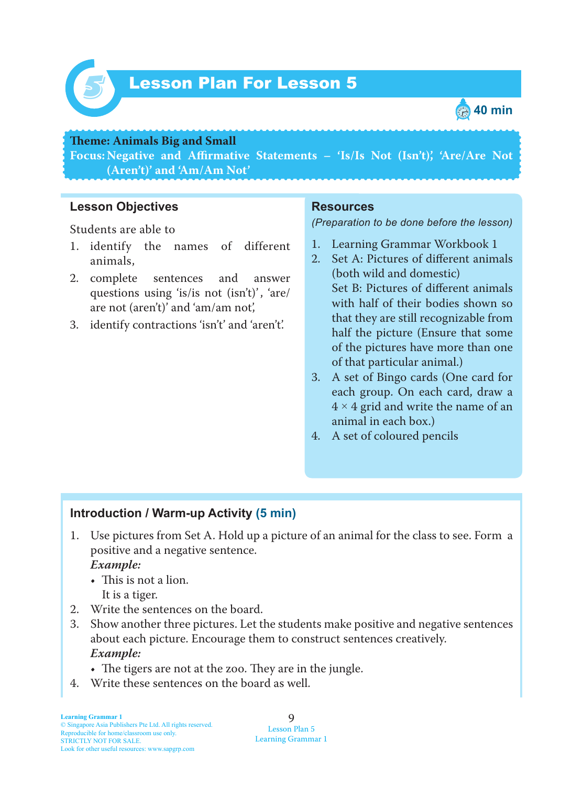

## Lesson Plan For Lesson 5 *5*



#### **Teme : Animals Big and Small**

**Focus: Negative and Affirmative Statements – 'Is/Is Not (Isn't)', 'Are/Are Not (Aren't)' and 'Am/Am Not'**

#### **Lesson Objectives**

Students are able to

- 1. identify the names of different animals,
- 2. complete sentences and answer questions using 'is/is not (isn't)', 'are/ are not (aren't)' and 'am/am not',
- 3. identify contractions 'isn't' and 'aren't'.

#### **Resources**

*(Preparation to be done before the lesson)*

- 1. Learning Grammar Workbook 1
- 2. Set A: Pictures of different animals (both wild and domestic) Set B: Pictures of different animals with half of their bodies shown so that they are still recognizable from half the picture (Ensure that some of the pictures have more than one of that particular animal.)
- 3. A set of Bingo cards (One card for each group. On each card, draw a  $4 \times 4$  grid and write the name of an animal in each box.)
- 4. A set of coloured pencils

#### **Introduction / Warm-up Activity (5 min)**

1. Use pictures from Set A. Hold up a picture of an animal for the class to see. Form a positive and a negative sentence.  *Example:*

# • This is not a lion.

It is a tiger.

- 2. Write the sentences on the board.
- 3. Show another three pictures. Let the students make positive and negative sentences about each picture. Encourage them to construct sentences creatively.  *Example:*
	- The tigers are not at the zoo. They are in the jungle.
- 4. Write these sentences on the board as well.